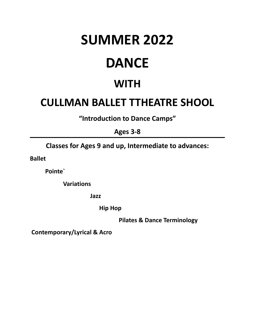# **SUMMER 2022 DANCE**

# **WITH**

## **CULLMAN BALLET TTHEATRE SHOOL**

**"Introduction to Dance Camps"**

**Ages 3-8**

**Classes for Ages 9 and up, Intermediate to advances:**

**Ballet**

**Pointe`**

**Variations**

**Jazz**

**Hip Hop**

**Pilates & Dance Terminology**

**Contemporary/Lyrical & Acro**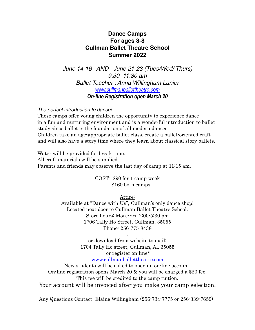#### **Dance Camps For ages 3-8 Cullman Ballet Theatre School Summer 2022**

*June 14-16 AND June 21-23 (Tues/Wed/ Thurs) 9:30 -11:30 am Ballet Teacher : Anna Willingham Lanier [www.cullmanballettheatre.com](http://www.cullmanballettheatre.com) On-line Registration open March 20* 

*The perfect introduction to dance!*

These camps offer young children the opportunity to experience dance in a fun and nurturing environment and is a wonderful introduction to ballet study since ballet is the foundation of all modern dances. Children take an age-appropriate ballet class, create a ballet-oriented craft and will also have a story time where they learn about classical story ballets.

Water will be provided for break time. All craft materials will be supplied. Parents and friends may observe the last day of camp at 11:15 am.

> COST: \$90 for 1 camp week \$160 both camps

> > Attire:

Available at "Dance with Us", Cullman's only dance shop! Located next door to Cullman Ballet Theatre School. Store hours: Mon.-Fri. 2:00-5:30 pm 1706 Tally Ho Street, Cullman, 35055 Phone: 256-775-8438

> or download from website to mail: 1704 Tally Ho street, Cullman, Al. 35055 or register on-line\* [www.cullmanballettheatre.com](http://www.cullmanballettheatre.com)

.

New students will be asked to open an on-line account. On-line registration opens March 20 & you will be charged a \$20 fee. This fee will be credited to the camp tuition. Your account will be invoiced after you make your camp selection.

Any Questions Contact: Elaine Willingham (256-734-7775 or 256-339-7659)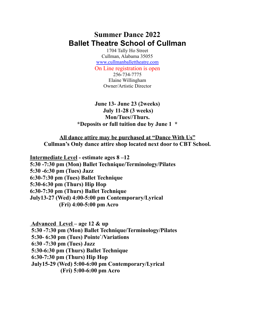### **Summer Dance 2022 Ballet Theatre School of Cullman**

1704 Tally Ho Street Cullman, Alabama 35055 [www.cullmanballettheatre.com](http://www.cullmanballettheatre.com) On Line registration is open 256-734-7775 Elaine Willingham Owner/Artistic Director

**June 13- June 23 (2weeks) July 11-28 (3 weeks) Mon/Tues//Thurs. \*Deposits or full tuition due by June 1 \***

**All dance attire may be purchased at "Dance With Us" Cullman's Only dance attire shop located next door to CBT School.**

**Intermediate Level - estimate ages 8 –12 5:30 -7:30 pm (Mon) Ballet Technique/Terminology/Pilates 5:30 -6:30 pm (Tues) Jazz 6:30-7:30 pm (Tues) Ballet Technique 5:30-6:30 pm (Thurs) Hip Hop 6:30-7:30 pm (Thurs) Ballet Technique July13-27 (Wed) 4:00-5:00 pm Contemporary/Lyrical (Fri) 4:00-5:00 pm Acro**

**Advanced Level – age 12 & up 5:30 -7:30 pm (Mon) Ballet Technique/Terminology/Pilates 5:30- 6:30 pm (Tues) Pointe`/Variations 6:30 -7:30 pm (Tues) Jazz 5:30-6:30 pm (Thurs) Ballet Technique 6:30-7:30 pm (Thurs) Hip Hop July15-29 (Wed) 5:00-6:00 pm Contemporary/Lyrical (Fri) 5:00-6:00 pm Acro**